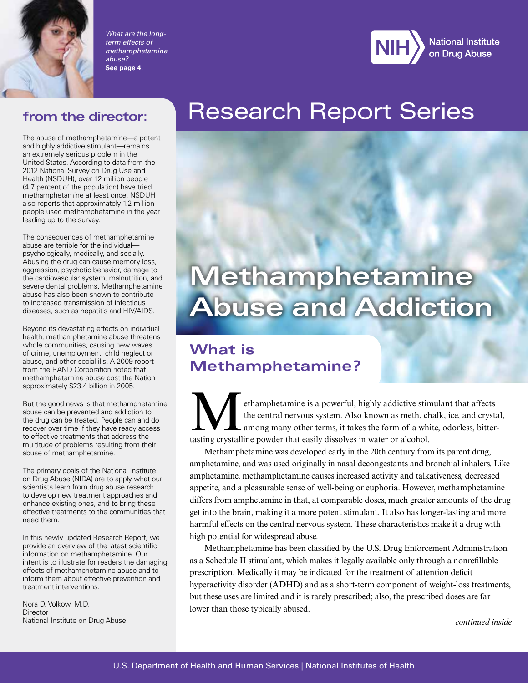

*What are the longterm effects of methamphetamine abuse?* **See page 4.**



#### **from the director:**

The abuse of methamphetamine—a potent and highly addictive stimulant—remains an extremely serious problem in the United States. According to data from the 2012 National Survey on Drug Use and Health (NSDUH), over 12 million people (4.7 percent of the population) have tried methamphetamine at least once. NSDUH also reports that approximately 1.2 million people used methamphetamine in the year leading up to the survey.

The consequences of methamphetamine abuse are terrible for the individual–– psychologically, medically, and socially. Abusing the drug can cause memory loss, aggression, psychotic behavior, damage to the cardiovascular system, malnutrition, and severe dental problems. Methamphetamine abuse has also been shown to contribute to increased transmission of infectious diseases, such as hepatitis and HIV/AIDS.

Beyond its devastating effects on individual health, methamphetamine abuse threatens whole communities, causing new waves of crime, unemployment, child neglect or abuse, and other social ills. A 2009 report from the RAND Corporation noted that methamphetamine abuse cost the Nation approximately \$23.4 billion in 2005.

But the good news is that methamphetamine abuse can be prevented and addiction to the drug can be treated. People can and do recover over time if they have ready access to effective treatments that address the multitude of problems resulting from their abuse of methamphetamine.

The primary goals of the National Institute on Drug Abuse (NIDA) are to apply what our scientists learn from drug abuse research to develop new treatment approaches and enhance existing ones, and to bring these effective treatments to the communities that need them.

In this newly updated Research Report, we provide an overview of the latest scientific information on methamphetamine. Our intent is to illustrate for readers the damaging effects of methamphetamine abuse and to inform them about effective prevention and treatment interventions.

Nora D. Volkow, M.D. **Director** National Institute on Drug Abuse

## Research Report Series

# **Methamphetamine Abuse and Addiction**

## **What is Methamphetamine?**

ethamphetamine is a powerful, highly addictive stimulant that affects<br>the central nervous system. Also known as meth, chalk, ice, and crysta<br>among many other terms, it takes the form of a white, odorless, bitter<br>tasting cr the central nervous system. Also known as meth, chalk, ice, and crystal, among many other terms, it takes the form of a white, odorless, bittertasting crystalline powder that easily dissolves in water or alcohol.

Methamphetamine was developed early in the 20th century from its parent drug, amphetamine, and was used originally in nasal decongestants and bronchial inhalers. Like amphetamine, methamphetamine causes increased activity and talkativeness, decreased appetite, and a pleasurable sense of well-being or euphoria. However, methamphetamine differs from amphetamine in that, at comparable doses, much greater amounts of the drug get into the brain, making it a more potent stimulant. It also has longer-lasting and more harmful effects on the central nervous system. These characteristics make it a drug with high potential for widespread abuse.

Methamphetamine has been classified by the U.S. Drug Enforcement Administration as a Schedule II stimulant, which makes it legally available only through a nonrefillable prescription. Medically it may be indicated for the treatment of attention deficit hyperactivity disorder (ADHD) and as a short-term component of weight-loss treatments, but these uses are limited and it is rarely prescribed; also, the prescribed doses are far lower than those typically abused.

*continued inside*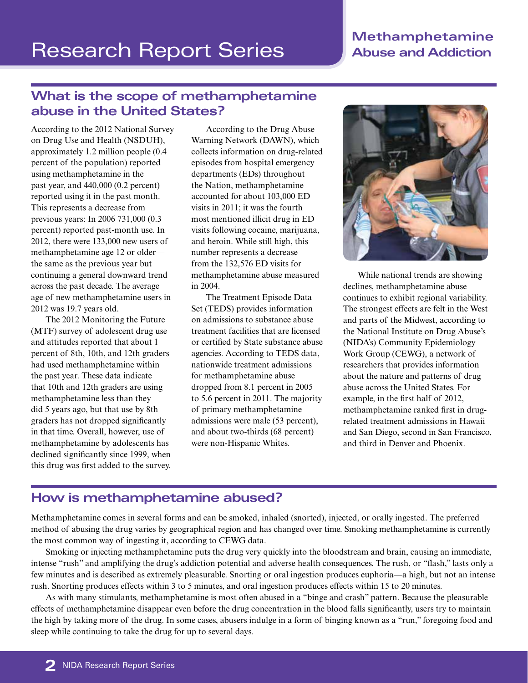#### **Methamphetamine Abuse and Addiction**

## **What is the scope of methamphetamine abuse in the United States?**

According to the 2012 National Survey on Drug Use and Health (NSDUH), approximately 1.2 million people (0.4 percent of the population) reported using methamphetamine in the past year, and 440,000 (0.2 percent) reported using it in the past month. This represents a decrease from previous years: In 2006 731,000 (0.3 percent) reported past-month use. In 2012, there were 133,000 new users of methamphetamine age 12 or older the same as the previous year but continuing a general downward trend across the past decade. The average age of new methamphetamine users in 2012 was 19.7 years old.

The 2012 Monitoring the Future (MTF) survey of adolescent drug use and attitudes reported that about 1 percent of 8th, 10th, and 12th graders had used methamphetamine within the past year. These data indicate that 10th and 12th graders are using methamphetamine less than they did 5 years ago, but that use by 8th graders has not dropped significantly in that time. Overall, however, use of methamphetamine by adolescents has declined significantly since 1999, when this drug was first added to the survey.

According to the Drug Abuse Warning Network (DAWN), which collects information on drug-related episodes from hospital emergency departments (EDs) throughout the Nation, methamphetamine accounted for about 103,000 ED visits in 2011; it was the fourth most mentioned illicit drug in ED visits following cocaine, marijuana, and heroin. While still high, this number represents a decrease from the 132,576 ED visits for methamphetamine abuse measured in 2004.

The Treatment Episode Data Set (TEDS) provides information on admissions to substance abuse treatment facilities that are licensed or certified by State substance abuse agencies. According to TEDS data, nationwide treatment admissions for methamphetamine abuse dropped from 8.1 percent in 2005 to 5.6 percent in 2011. The majority of primary methamphetamine admissions were male (53 percent), and about two-thirds (68 percent) were non-Hispanic Whites.



While national trends are showing declines, methamphetamine abuse continues to exhibit regional variability. The strongest effects are felt in the West and parts of the Midwest, according to the National Institute on Drug Abuse's (NIDA's) Community Epidemiology Work Group (CEWG), a network of researchers that provides information about the nature and patterns of drug abuse across the United States. For example, in the first half of 2012, methamphetamine ranked first in drugrelated treatment admissions in Hawaii and San Diego, second in San Francisco, and third in Denver and Phoenix.

#### **How is methamphetamine abused?**

Methamphetamine comes in several forms and can be smoked, inhaled (snorted), injected, or orally ingested. The preferred method of abusing the drug varies by geographical region and has changed over time. Smoking methamphetamine is currently the most common way of ingesting it, according to CEWG data.

Smoking or injecting methamphetamine puts the drug very quickly into the bloodstream and brain, causing an immediate, intense "rush" and amplifying the drug's addiction potential and adverse health consequences. The rush, or "flash," lasts only a few minutes and is described as extremely pleasurable. Snorting or oral ingestion produces euphoria—a high, but not an intense rush. Snorting produces effects within 3 to 5 minutes, and oral ingestion produces effects within 15 to 20 minutes.

As with many stimulants, methamphetamine is most often abused in a "binge and crash" pattern. Because the pleasurable effects of methamphetamine disappear even before the drug concentration in the blood falls significantly, users try to maintain the high by taking more of the drug. In some cases, abusers indulge in a form of binging known as a "run," foregoing food and sleep while continuing to take the drug for up to several days.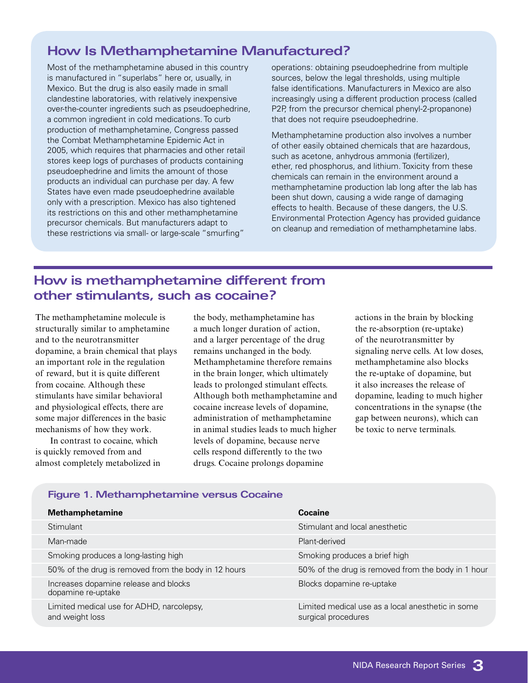#### **How Is Methamphetamine Manufactured?**

Most of the methamphetamine abused in this country is manufactured in "superlabs" here or, usually, in Mexico. But the drug is also easily made in small clandestine laboratories, with relatively inexpensive over-the-counter ingredients such as pseudoephedrine, a common ingredient in cold medications. To curb production of methamphetamine, Congress passed the Combat Methamphetamine Epidemic Act in 2005, which requires that pharmacies and other retail stores keep logs of purchases of products containing pseudoephedrine and limits the amount of those products an individual can purchase per day. A few States have even made pseudoephedrine available only with a prescription. Mexico has also tightened its restrictions on this and other methamphetamine precursor chemicals. But manufacturers adapt to these restrictions via small- or large-scale "smurfing"

operations: obtaining pseudoephedrine from multiple sources, below the legal thresholds, using multiple false identifications. Manufacturers in Mexico are also increasingly using a different production process (called P2P, from the precursor chemical phenyl-2-propanone) that does not require pseudoephedrine.

Methamphetamine production also involves a number of other easily obtained chemicals that are hazardous, such as acetone, anhydrous ammonia (fertilizer), ether, red phosphorus, and lithium. Toxicity from these chemicals can remain in the environment around a methamphetamine production lab long after the lab has been shut down, causing a wide range of damaging effects to health. Because of these dangers, the U.S. Environmental Protection Agency has provided guidance on cleanup and remediation of methamphetamine labs.

### **How is methamphetamine different from other stimulants, such as cocaine?**

The methamphetamine molecule is structurally similar to amphetamine and to the neurotransmitter dopamine, a brain chemical that plays an important role in the regulation of reward, but it is quite different from cocaine. Although these stimulants have similar behavioral and physiological effects, there are some major differences in the basic mechanisms of how they work.

In contrast to cocaine, which is quickly removed from and almost completely metabolized in the body, methamphetamine has a much longer duration of action, and a larger percentage of the drug remains unchanged in the body. Methamphetamine therefore remains in the brain longer, which ultimately leads to prolonged stimulant effects. Although both methamphetamine and cocaine increase levels of dopamine, administration of methamphetamine in animal studies leads to much higher levels of dopamine, because nerve cells respond differently to the two drugs. Cocaine prolongs dopamine

actions in the brain by blocking the re-absorption (re-uptake) of the neurotransmitter by signaling nerve cells. At low doses, methamphetamine also blocks the re-uptake of dopamine, but it also increases the release of dopamine, leading to much higher concentrations in the synapse (the gap between neurons), which can be toxic to nerve terminals.

#### **Figure 1. Methamphetamine versus Cocaine**

| <b>Methamphetamine</b>                                       | Cocaine                                                                  |
|--------------------------------------------------------------|--------------------------------------------------------------------------|
| Stimulant                                                    | Stimulant and local anesthetic                                           |
| Man-made                                                     | Plant-derived                                                            |
| Smoking produces a long-lasting high                         | Smoking produces a brief high                                            |
| 50% of the drug is removed from the body in 12 hours         | 50% of the drug is removed from the body in 1 hour                       |
| Increases dopamine release and blocks<br>dopamine re-uptake  | Blocks dopamine re-uptake                                                |
| Limited medical use for ADHD, narcolepsy,<br>and weight loss | Limited medical use as a local anesthetic in some<br>surgical procedures |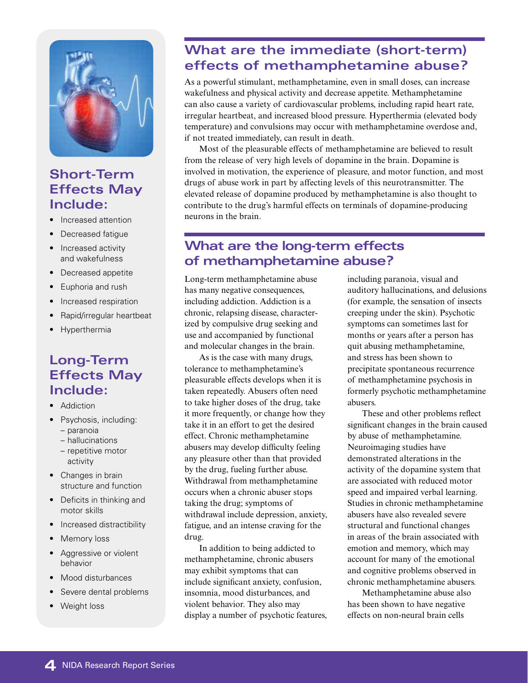

#### **Short-Term Effects May Include:**

- Increased attention
- Decreased fatique
- Increased activity and wakefulness
- Decreased appetite
- • Euphoria and rush
- Increased respiration
- • Rapid/irregular heartbeat
- • Hyperthermia

#### **Long-Term Effects May Include:**

- Addiction
- Psychosis, including:
	- paranoia
	- hallucinations
	- repetitive motor activity
- Changes in brain structure and function
- • Deficits in thinking and motor skills
- Increased distractibility
- Memory loss
- Aggressive or violent behavior
- Mood disturbances
- Severe dental problems
- Weight loss

## **What are the immediate (short-term) effects of methamphetamine abuse?**

As a powerful stimulant, methamphetamine, even in small doses, can increase wakefulness and physical activity and decrease appetite. Methamphetamine can also cause a variety of cardiovascular problems, including rapid heart rate, irregular heartbeat, and increased blood pressure. Hyperthermia (elevated body temperature) and convulsions may occur with methamphetamine overdose and, if not treated immediately, can result in death.

Most of the pleasurable effects of methamphetamine are believed to result from the release of very high levels of dopamine in the brain. Dopamine is involved in motivation, the experience of pleasure, and motor function, and most drugs of abuse work in part by affecting levels of this neurotransmitter. The elevated release of dopamine produced by methamphetamine is also thought to contribute to the drug's harmful effects on terminals of dopamine-producing neurons in the brain.

#### **What are the long-term effects of methamphetamine abuse?**

Long-term methamphetamine abuse has many negative consequences, including addiction. Addiction is a chronic, relapsing disease, characterized by compulsive drug seeking and use and accompanied by functional and molecular changes in the brain.

As is the case with many drugs, tolerance to methamphetamine's pleasurable effects develops when it is taken repeatedly. Abusers often need to take higher doses of the drug, take it more frequently, or change how they take it in an effort to get the desired effect. Chronic methamphetamine abusers may develop difficulty feeling any pleasure other than that provided by the drug, fueling further abuse. Withdrawal from methamphetamine occurs when a chronic abuser stops taking the drug; symptoms of withdrawal include depression, anxiety, fatigue, and an intense craving for the drug.

In addition to being addicted to methamphetamine, chronic abusers may exhibit symptoms that can include significant anxiety, confusion, insomnia, mood disturbances, and violent behavior. They also may display a number of psychotic features, including paranoia, visual and auditory hallucinations, and delusions (for example, the sensation of insects creeping under the skin). Psychotic symptoms can sometimes last for months or years after a person has quit abusing methamphetamine, and stress has been shown to precipitate spontaneous recurrence of methamphetamine psychosis in formerly psychotic methamphetamine abusers.

These and other problems reflect significant changes in the brain caused by abuse of methamphetamine. Neuroimaging studies have demonstrated alterations in the activity of the dopamine system that are associated with reduced motor speed and impaired verbal learning. Studies in chronic methamphetamine abusers have also revealed severe structural and functional changes in areas of the brain associated with emotion and memory, which may account for many of the emotional and cognitive problems observed in chronic methamphetamine abusers.

Methamphetamine abuse also has been shown to have negative effects on non-neural brain cells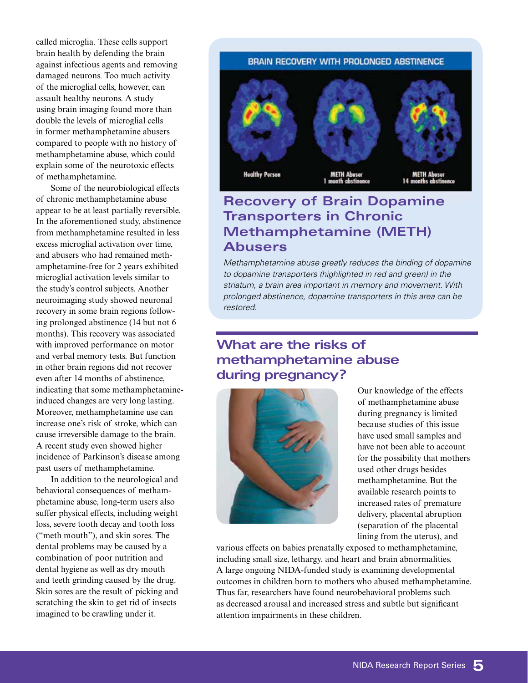called microglia. These cells support brain health by defending the brain against infectious agents and removing damaged neurons. Too much activity of the microglial cells, however, can assault healthy neurons. A study using brain imaging found more than double the levels of microglial cells in former methamphetamine abusers compared to people with no history of methamphetamine abuse, which could explain some of the neurotoxic effects of methamphetamine.

Some of the neurobiological effects of chronic methamphetamine abuse appear to be at least partially reversible. In the aforementioned study, abstinence from methamphetamine resulted in less excess microglial activation over time, and abusers who had remained methamphetamine-free for 2 years exhibited microglial activation levels similar to the study's control subjects. Another neuroimaging study showed neuronal recovery in some brain regions following prolonged abstinence (14 but not 6 months). This recovery was associated with improved performance on motor and verbal memory tests. But function in other brain regions did not recover even after 14 months of abstinence, indicating that some methamphetamineinduced changes are very long lasting. Moreover, methamphetamine use can increase one's risk of stroke, which can cause irreversible damage to the brain. A recent study even showed higher incidence of Parkinson's disease among past users of methamphetamine.

In addition to the neurological and behavioral consequences of methamphetamine abuse, long-term users also suffer physical effects, including weight loss, severe tooth decay and tooth loss ("meth mouth"), and skin sores. The dental problems may be caused by a combination of poor nutrition and dental hygiene as well as dry mouth and teeth grinding caused by the drug. Skin sores are the result of picking and scratching the skin to get rid of insects imagined to be crawling under it.

#### BRAIN RECOVERY WITH PROLONGED ABSTINENCE



#### **Recovery of Brain Dopamine Transporters in Chronic Methamphetamine (METH) Abusers**

*Methamphetamine abuse greatly reduces the binding of dopamine to dopamine transporters (highlighted in red and green) in the striatum, a brain area important in memory and movement. With prolonged abstinence, dopamine transporters in this area can be restored.* 

#### **What are the risks of methamphetamine abuse during pregnancy?**



Our knowledge of the effects of methamphetamine abuse during pregnancy is limited because studies of this issue have used small samples and have not been able to account for the possibility that mothers used other drugs besides methamphetamine. But the available research points to increased rates of premature delivery, placental abruption (separation of the placental lining from the uterus), and

various effects on babies prenatally exposed to methamphetamine, including small size, lethargy, and heart and brain abnormalities. A large ongoing NIDA-funded study is examining developmental outcomes in children born to mothers who abused methamphetamine. Thus far, researchers have found neurobehavioral problems such as decreased arousal and increased stress and subtle but significant attention impairments in these children.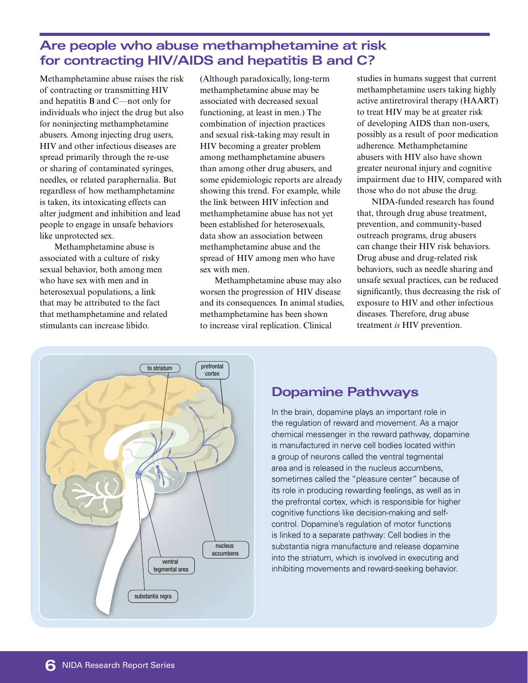#### **Are people who abuse methamphetamine at risk for contracting HIV/AIDS and hepatitis B and C?**

Methamphetamine abuse raises the risk of contracting or transmitting HIV and hepatitis B and C—not only for individuals who inject the drug but also for noninjecting methamphetamine abusers. Among injecting drug users, HIV and other infectious diseases are spread primarily through the re-use or sharing of contaminated syringes, needles, or related paraphernalia. But regardless of how methamphetamine is taken, its intoxicating effects can alter judgment and inhibition and lead people to engage in unsafe behaviors like unprotected sex.

Methamphetamine abuse is associated with a culture of risky sexual behavior, both among men who have sex with men and in heterosexual populations, a link that may be attributed to the fact that methamphetamine and related stimulants can increase libido.

(Although paradoxically, long-term methamphetamine abuse may be associated with decreased sexual functioning, at least in men.) The combination of injection practices and sexual risk-taking may result in HIV becoming a greater problem among methamphetamine abusers than among other drug abusers, and some epidemiologic reports are already showing this trend. For example, while the link between HIV infection and methamphetamine abuse has not yet been established for heterosexuals, data show an association between methamphetamine abuse and the spread of HIV among men who have sex with men.

Methamphetamine abuse may also worsen the progression of HIV disease and its consequences. In animal studies, methamphetamine has been shown to increase viral replication. Clinical

studies in humans suggest that current methamphetamine users taking highly active antiretroviral therapy (HAART) to treat HIV may be at greater risk of developing AIDS than non-users, possibly as a result of poor medication adherence. Methamphetamine abusers with HIV also have shown greater neuronal injury and cognitive impairment due to HIV, compared with those who do not abuse the drug.

NIDA-funded research has found that, through drug abuse treatment, prevention, and community-based outreach programs, drug abusers can change their HIV risk behaviors. Drug abuse and drug-related risk behaviors, such as needle sharing and unsafe sexual practices, can be reduced significantly, thus decreasing the risk of exposure to HIV and other infectious diseases. Therefore, drug abuse treatment *is* HIV prevention.



#### **Dopamine Pathways**

In the brain, dopamine plays an important role in the regulation of reward and movement. As a major chemical messenger in the reward pathway, dopamine is manufactured in nerve cell bodies located within a group of neurons called the ventral tegmental area and is released in the nucleus accumbens, sometimes called the "pleasure center" because of its role in producing rewarding feelings, as well as in the prefrontal cortex, which is responsible for higher cognitive functions like decision-making and selfcontrol. Dopamine's regulation of motor functions is linked to a separate pathway: Cell bodies in the substantia nigra manufacture and release dopamine into the striatum, which is involved in executing and inhibiting movements and reward-seeking behavior.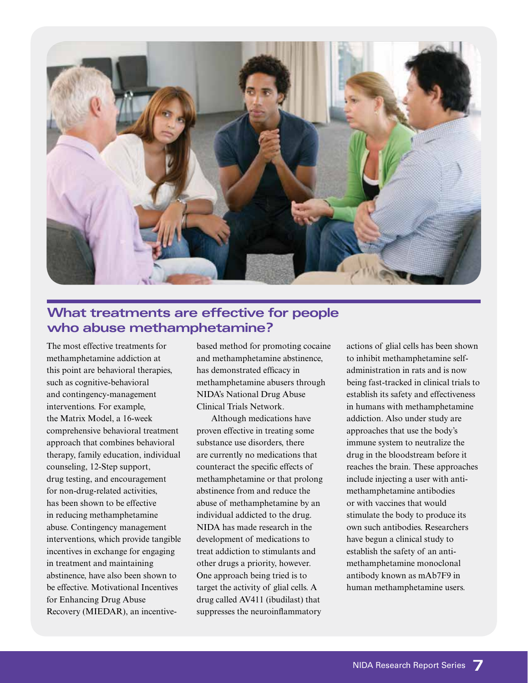

#### **What treatments are effective for people who abuse methamphetamine?**

The most effective treatments for methamphetamine addiction at this point are behavioral therapies, such as cognitive-behavioral and contingency-management interventions. For example, the Matrix Model, a 16-week comprehensive behavioral treatment approach that combines behavioral therapy, family education, individual counseling, 12-Step support, drug testing, and encouragement for non-drug-related activities, has been shown to be effective in reducing methamphetamine abuse. Contingency management interventions, which provide tangible incentives in exchange for engaging in treatment and maintaining abstinence, have also been shown to be effective. Motivational Incentives for Enhancing Drug Abuse Recovery (MIEDAR), an incentivebased method for promoting cocaine and methamphetamine abstinence, has demonstrated efficacy in methamphetamine abusers through NIDA's National Drug Abuse Clinical Trials Network.

Although medications have proven effective in treating some substance use disorders, there are currently no medications that counteract the specific effects of methamphetamine or that prolong abstinence from and reduce the abuse of methamphetamine by an individual addicted to the drug. NIDA has made research in the development of medications to treat addiction to stimulants and other drugs a priority, however. One approach being tried is to target the activity of glial cells. A drug called AV411 (ibudilast) that suppresses the neuroinflammatory

actions of glial cells has been shown to inhibit methamphetamine selfadministration in rats and is now being fast-tracked in clinical trials to establish its safety and effectiveness in humans with methamphetamine addiction. Also under study are approaches that use the body's immune system to neutralize the drug in the bloodstream before it reaches the brain. These approaches include injecting a user with antimethamphetamine antibodies or with vaccines that would stimulate the body to produce its own such antibodies. Researchers have begun a clinical study to establish the safety of an antimethamphetamine monoclonal antibody known as mAb7F9 in human methamphetamine users.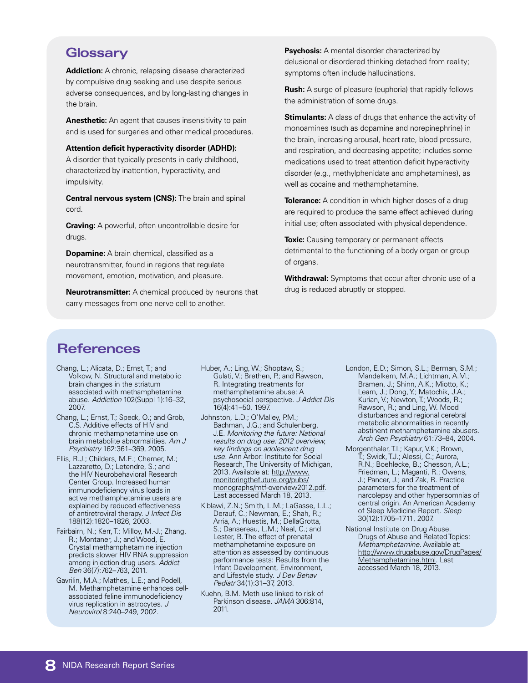#### **Glossary**

**Addiction:** A chronic, relapsing disease characterized by compulsive drug seeking and use despite serious adverse consequences, and by long-lasting changes in the brain.

**Anesthetic:** An agent that causes insensitivity to pain and is used for surgeries and other medical procedures.

**Attention deficit hyperactivity disorder (ADHD):** A disorder that typically presents in early childhood, characterized by inattention, hyperactivity, and impulsivity.

**Central nervous system (CNS):** The brain and spinal cord.

**Craving:** A powerful, often uncontrollable desire for drugs.

**Dopamine:** A brain chemical, classified as a neurotransmitter, found in regions that regulate movement, emotion, motivation, and pleasure.

**Neurotransmitter:** A chemical produced by neurons that carry messages from one nerve cell to another.

**Psychosis:** A mental disorder characterized by delusional or disordered thinking detached from reality; symptoms often include hallucinations.

**Rush:** A surge of pleasure (euphoria) that rapidly follows the administration of some drugs.

**Stimulants:** A class of drugs that enhance the activity of monoamines (such as dopamine and norepinephrine) in the brain, increasing arousal, heart rate, blood pressure, and respiration, and decreasing appetite; includes some medications used to treat attention deficit hyperactivity disorder (e.g., methylphenidate and amphetamines), as well as cocaine and methamphetamine.

**Tolerance:** A condition in which higher doses of a drug are required to produce the same effect achieved during initial use; often associated with physical dependence.

**Toxic:** Causing temporary or permanent effects detrimental to the functioning of a body organ or group of organs.

**Withdrawal:** Symptoms that occur after chronic use of a drug is reduced abruptly or stopped.

#### **References**

- Chang, L.; Alicata, D.; Ernst, T.; and Volkow, N. Structural and metabolic brain changes in the striatum associated with methamphetamine abuse. *Addiction* 102(Suppl 1):16–32, 2007.
- Chang, L.; Ernst, T.; Speck, O.; and Grob, C.S. Additive effects of HIV and chronic methamphetamine use on brain metabolite abnormalities. *Am J Psychiatry* 162:361–369, 2005.
- Ellis, R.J.; Childers, M.E.; Cherner, M.; Lazzaretto, D.; Letendre, S.; and the HIV Neurobehavioral Research Center Group. Increased human immunodeficiency virus loads in active methamphetamine users are explained by reduced effectiveness of antiretroviral therapy. *J Infect Dis* 188(12):1820–1826, 2003.
- Fairbairn, N.; Kerr, T.; Milloy, M.-J.; Zhang, R.; Montaner, J.; and Wood, E. Crystal methamphetamine injection predicts slower HIV RNA suppression among injection drug users. *Addict Beh* 36(7):762–763, 2011.
- Gavrilin, M.A.; Mathes, L.E.; and Podell, M. Methamphetamine enhances cellassociated feline immunodeficiency virus replication in astrocytes. *J Neurovirol* 8:240–249, 2002.
- Huber, A.; Ling, W.; Shoptaw, S.; Gulati, V.; Brethen, P.; and Rawson, R. Integrating treatments for methamphetamine abuse: A psychosocial perspective. *J Addict Dis*  16(4):41–50, 1997.
- Johnston, L.D.; O'Malley, P.M.; Bachman, J.G.; and Schulenberg, J.E. *Monitoring the future: National results on drug use: 2012 overview, key findings on adolescent drug use.* Ann Arbor: Institute for Social Research, The University of Michigan, 2013. Available at: [http://www.](http://www.monitoringthefuture.org/pubs/monographs/mtf-overview2012.pdf) [monitoringthefuture.org/pubs/](http://www.monitoringthefuture.org/pubs/monographs/mtf-overview2012.pdf) [monographs/mtf-overview2012.pdf](http://www.monitoringthefuture.org/pubs/monographs/mtf-overview2012.pdf). Last accessed March 18, 2013.
- Kiblawi, Z.N.; Smith, L.M.; LaGasse, L.L.; Derauf, C.; Newman, E.; Shah, R.; Arria, A.; Huestis, M.; DellaGrotta, S.; Dansereau, L.M.; Neal, C.; and Lester, B. The effect of prenatal methamphetamine exposure on attention as assessed by continuous performance tests: Results from the Infant Development, Environment, and Lifestyle study. *J Dev Behav Pediatr* 34(1):31–37, 2013.
- Kuehn, B.M. Meth use linked to risk of Parkinson disease. *JAMA* 306:814, 2011.
- London, E.D.; Simon, S.L.; Berman, S.M.; Mandelkern, M.A.; Lichtman, A.M.; Bramen, J.; Shinn, A.K.; Miotto, K.; Learn, J.; Dong, Y.; Matochik, J.A.; Kurian, V.; Newton,T.; Woods, R.; Rawson, R.; and Ling, W. Mood disturbances and regional cerebral metabolic abnormalities in recently abstinent methamphetamine abusers. *Arch Gen Psychiatry* 61:73–84, 2004.
- Morgenthaler, T.I.; Kapur, V.K.; Brown, T.; Swick, T.J.; Alessi, C.; Aurora, R.N.; Boehlecke, B.; Chesson, A.L.; Friedman, L.; Maganti, R.; Owens, J.; Pancer, J.; and Zak, R. Practice parameters for the treatment of narcolepsy and other hypersomnias of central origin. An American Academy of Sleep Medicine Report. *Sleep* 30(12):1705–1711, 2007.
- National Institute on Drug Abuse. Drugs of Abuse and Related Topics: *Methamphetamine*. Available at: [http://www.drugabuse.gov/DrugPages/](http://www.drugabuse.gov/DrugPages/Methamphetamine.html) [Methamphetamine.html](http://www.drugabuse.gov/DrugPages/Methamphetamine.html). Last accessed March 18, 2013.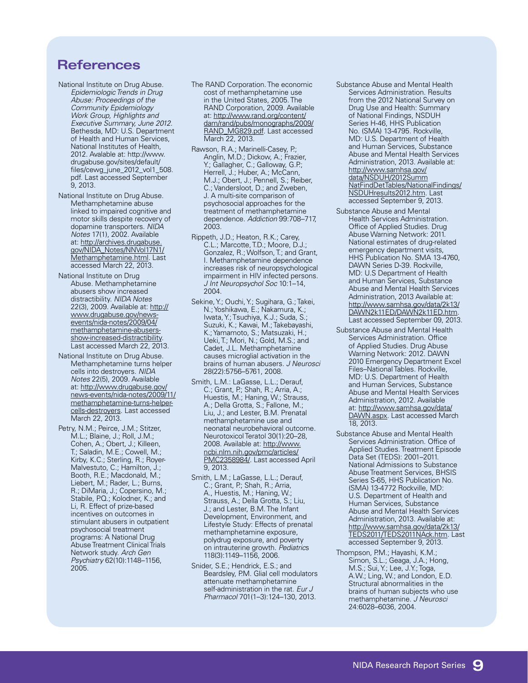#### **References**

- National Institute on Drug Abuse. *Epidemiologic Trends in Drug Abuse: Proceedings of the Community Epidemiology Work Group, Highlights and Executive Summary, June 2012.* Bethesda, MD: U.S. Department of Health and Human Services, National Institutes of Health, 2012. Avalable at: http://www. drugabuse.gov/sites/default/ files/cewg\_june\_2012\_vol1\_508. pdf. Last accessed September 9, 2013.
- National Institute on Drug Abuse. Methamphetamine abuse linked to impaired cognitive and motor skills despite recovery of dopamine transporters. *NIDA Notes* 17(1), 2002. Available at: [http://archives.drugabuse.](http://archives.drugabuse.gov/NIDA_Notes/NNVol17N1/Methamphetamine.html) [gov/NIDA\\_Notes/NNVol17N1/](http://archives.drugabuse.gov/NIDA_Notes/NNVol17N1/Methamphetamine.html) [Methamphetamine.html](http://archives.drugabuse.gov/NIDA_Notes/NNVol17N1/Methamphetamine.html). Last accessed March 22, 2013.
- National Institute on Drug Abuse. Methamphetamine abusers show increased distractibility. *NIDA Notes* 22(3), 2009. Available at: [http://](http://www.drugabuse.gov/news-events/nida-notes/2009/04/methamphetamine-abusers-show-increased-distractibility) [www.drugabuse.gov/news](http://www.drugabuse.gov/news-events/nida-notes/2009/04/methamphetamine-abusers-show-increased-distractibility)[events/nida-notes/2009/04/](http://www.drugabuse.gov/news-events/nida-notes/2009/04/methamphetamine-abusers-show-increased-distractibility) [methamphetamine-abusers](http://www.drugabuse.gov/news-events/nida-notes/2009/04/methamphetamine-abusers-show-increased-distractibility)[show-increased-distractibility.](http://www.drugabuse.gov/news-events/nida-notes/2009/04/methamphetamine-abusers-show-increased-distractibility) Last accessed March 22, 2013.
- National Institute on Drug Abuse. Methamphetamine turns helper cells into destroyers. *NIDA Notes* 22(5), 2009. Available at: [http://www.drugabuse.gov/](http://www.drugabuse.gov/news-events/nida-notes/2009/11/methamphetamine-turns-helper-cells-destroyers) [news-events/nida-notes/2009/11/](http://www.drugabuse.gov/news-events/nida-notes/2009/11/methamphetamine-turns-helper-cells-destroyers) [methamphetamine-turns-helper](http://www.drugabuse.gov/news-events/nida-notes/2009/11/methamphetamine-turns-helper-cells-destroyers)[cells-destroyers.](http://www.drugabuse.gov/news-events/nida-notes/2009/11/methamphetamine-turns-helper-cells-destroyers) Last accessed March 22, 2013.
- Petry, N.M.; Peirce, J.M.; Stitzer, M.L.; Blaine, J.; Roll, J.M.; Cohen, A.; Obert, J.; Killeen, T.; Saladin, M.E.; Cowell, M.; Kirby, K.C.; Sterling, R.; Royer-Malvestuto, C.; Hamilton, J.; Booth, R.E.; Macdonald, M.; Liebert, M.; Rader, L.; Burns, R.; DiMaria, J.; Copersino, M.; Stabile, P.Q.; Kolodner, K.; and Li, R. Effect of prize-based incentives on outcomes in stimulant abusers in outpatient psychosocial treatment programs: A National Drug Abuse Treatment Clinical Trials Network study. *Arch Gen Psychiatry* 62(10):1148–1156, 2005.
- The RAND Corporation. The economic cost of methamphetamine use in the United States, 2005. The RAND Corporation, 2009. Available at: [http://www.rand.org/content/](http://www.rand.org/content/dam/rand/pubs/monographs/2009/RAND_MG829.pdf) [dam/rand/pubs/monographs/2009/](http://www.rand.org/content/dam/rand/pubs/monographs/2009/RAND_MG829.pdf) [RAND\\_MG829.pdf.](http://www.rand.org/content/dam/rand/pubs/monographs/2009/RAND_MG829.pdf) Last accessed March 22, 2013.
- Rawson, R.A.; Marinelli-Casey, P.; Anglin, M.D.; Dickow, A.; Frazier, Y.; Gallagher, C.; Galloway, G.P.; Herrell, J.; Huber, A.; McCann, M.J.; Obert, J.; Pennell, S.; Reiber, C.; Vandersloot, D.; and Zweben, J. A multi-site comparison of psychosocial approaches for the treatment of methamphetamine dependence. *Addiction* 99:708–717, 2003.
- Rippeth, J.D.; Heaton, R.K.; Carey, C.L.; Marcotte, T.D.; Moore, D.J.; Gonzalez, R.; Wolfson, T.; and Grant, I. Methamphetamine dependence increases risk of neuropsychological impairment in HIV infected persons. *J Int Neuropsychol Soc* 10:1–14, 2004.
- Sekine, Y.; Ouchi, Y.; Sugihara, G.; Takei, N.; Yoshikawa, E.; Nakamura, K.; Iwata, Y.; Tsuchiya, K.J.; Suda, S.; Suzuki, K.; Kawai, M.; Takebayashi, K.; Yamamoto, S.; Matsuzaki, H.; Ueki, T.; Mori, N.; Gold, M.S.; and Cadet, J.L. Methamphetamine causes microglial activation in the brains of human abusers. *J Neurosci*  28(22):5756–5761, 2008.
- Smith, L.M.: LaGasse, L.L.; Derauf, C.; Grant, P; Shah, R.; Arria, A.; Huestis, M.; Haning, W.; Strauss, A.; Della Grotta, S.; Fallone, M.; Liu, J.; and Lester, B.M. Prenatal methamphetamine use and neonatal neurobehavioral outcome. Neurotoxicol Teratol 30(1):20–28, 2008. Available at: [http://www.](http://www.ncbi.nlm.nih.gov/pmc/articles/PMC2358984/) [ncbi.nlm.nih.gov/pmc/articles/](http://www.ncbi.nlm.nih.gov/pmc/articles/PMC2358984/) [PMC2358984/.](http://www.ncbi.nlm.nih.gov/pmc/articles/PMC2358984/) Last accessed April 9, 2013.
- Smith, L.M.; LaGasse, L.L.; Derauf, C.; Grant, P.; Shah, R.; Arria, A., Huestis, M.; Haning, W.; Strauss, A.; Della Grotta, S.; Liu, J.; and Lester, B.M. The Infant Development, Environment, and Lifestyle Study: Effects of prenatal methamphetamine exposure, polydrug exposure, and poverty on intrauterine growth. *Pediatric*s 118(3):1149–1156, 2006.
- Snider, S.E.; Hendrick, E.S.; and Beardsley, P.M. Glial cell modulators attenuate methamphetamine self-administration in the rat. *Eur J Pharmacol* 701(1–3):124–130, 2013.
- Substance Abuse and Mental Health Services Administration. Results from the 2012 National Survey on Drug Use and Health: Summary of National Findings, NSDUH Series H-46, HHS Publication No. (SMA) 13-4795. Rockville, MD: U.S. Department of Health and Human Services, Substance Abuse and Mental Health Services Administration, 2013. Available at: http://www.samhsa.gov/ data/NSDUH/2012Summ NatFindDetTables/NationalFindings/ NSDUHresults2012.htm. Last accessed September 9, 2013.
- Substance Abuse and Mental Health Services Administration. Office of Applied Studies. Drug Abuse Warning Network: 2011. National estimates of drug-related emergency department visits, HHS Publication No. SMA 13-4760, DAWN Series D-39. Rockville, MD: U.S Department of Health and Human Services, Substance Abuse and Mental Health Services Administration, 2013 Available at: http://www.samhsa.gov/data/2k13/ DAWN2k11ED/DAWN2k11ED.htm. Last accessed September 09, 2013.
- Substance Abuse and Mental Health Services Administration. Office of Applied Studies. Drug Abuse Warning Network: 2012. DAWN 2010 Emergency Department Excel Files–National Tables. Rockville, MD: U.S. Department of Health and Human Services, Substance Abuse and Mental Health Services Administration, 2012. Available at: [http://www.samhsa.gov/data/](http://www.samhsa.gov/data/DAWN.aspx) [DAWN.aspx](http://www.samhsa.gov/data/DAWN.aspx). Last accessed March 18, 2013.
- Substance Abuse and Mental Health Services Administration. Office of Applied Studies. Treatment Episode Data Set (TEDS): 2001–2011. National Admissions to Substance Abuse Treatment Services, BHSIS Series S-65, HHS Publication No. (SMA) 13-4772 Rockville, MD: U.S. Department of Health and Human Services, Substance Abuse and Mental Health Services Administration, 2013. Available at: http://www.samhsa.gov/data/2k13/ TEDS2011/TEDS2011NAck.htm. Last accessed September 9, 2013.
- Thompson, P.M.; Hayashi, K.M.; Simon, S.L.; Geaga, J.A.; Hong, M.S.; Sui, Y.; Lee, J.Y.; Toga, A.W.; Ling, W.; and London, E.D. Structural abnormalities in the brains of human subjects who use methamphetamine. *J Neurosci*  24:6028–6036, 2004.